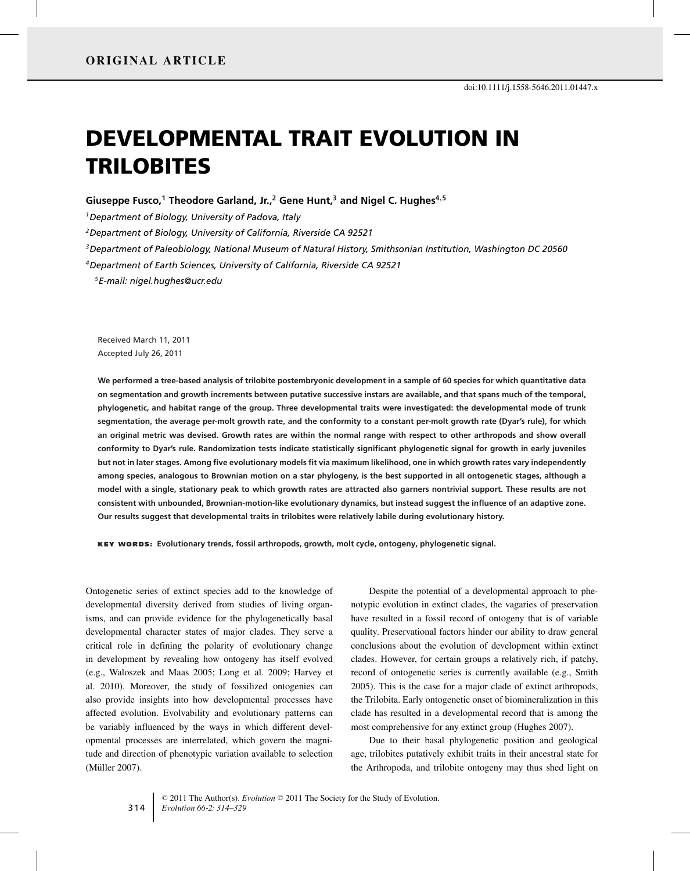# **DEVELOPMENTAL TRAIT EVOLUTION IN TRILOBITES**

**Giuseppe Fusco,<sup>1</sup> Theodore Garland, Jr.,2 Gene Hunt,<sup>3</sup> and Nigel C. Hughes4,<sup>5</sup>**

*1Department of Biology, University of Padova, Italy*

*2Department of Biology, University of California, Riverside CA 92521*

*3Department of Paleobiology, National Museum of Natural History, Smithsonian Institution, Washington DC 20560*

*4Department of Earth Sciences, University of California, Riverside CA 92521*

*5E-mail: nigel.hughes@ucr.edu*

Received March 11, 2011 Accepted July 26, 2011

**We performed a tree-based analysis of trilobite postembryonic development in a sample of 60 species for which quantitative data on segmentation and growth increments between putative successive instars are available, and that spans much of the temporal, phylogenetic, and habitat range of the group. Three developmental traits were investigated: the developmental mode of trunk segmentation, the average per-molt growth rate, and the conformity to a constant per-molt growth rate (Dyar's rule), for which an original metric was devised. Growth rates are within the normal range with respect to other arthropods and show overall conformity to Dyar's rule. Randomization tests indicate statistically significant phylogenetic signal for growth in early juveniles but not in later stages. Among five evolutionary models fit via maximum likelihood, one in which growth rates vary independently among species, analogous to Brownian motion on a star phylogeny, is the best supported in all ontogenetic stages, although a model with a single, stationary peak to which growth rates are attracted also garners nontrivial support. These results are not consistent with unbounded, Brownian-motion-like evolutionary dynamics, but instead suggest the influence of an adaptive zone. Our results suggest that developmental traits in trilobites were relatively labile during evolutionary history.**

**KEY WORDS: Evolutionary trends, fossil arthropods, growth, molt cycle, ontogeny, phylogenetic signal.**

Ontogenetic series of extinct species add to the knowledge of developmental diversity derived from studies of living organisms, and can provide evidence for the phylogenetically basal developmental character states of major clades. They serve a critical role in defining the polarity of evolutionary change in development by revealing how ontogeny has itself evolved (e.g., Waloszek and Maas 2005; Long et al. 2009; Harvey et al. 2010). Moreover, the study of fossilized ontogenies can also provide insights into how developmental processes have affected evolution. Evolvability and evolutionary patterns can be variably influenced by the ways in which different developmental processes are interrelated, which govern the magnitude and direction of phenotypic variation available to selection (Müller 2007).

Despite the potential of a developmental approach to phenotypic evolution in extinct clades, the vagaries of preservation have resulted in a fossil record of ontogeny that is of variable quality. Preservational factors hinder our ability to draw general conclusions about the evolution of development within extinct clades. However, for certain groups a relatively rich, if patchy, record of ontogenetic series is currently available (e.g., Smith 2005). This is the case for a major clade of extinct arthropods, the Trilobita. Early ontogenetic onset of biomineralization in this clade has resulted in a developmental record that is among the most comprehensive for any extinct group (Hughes 2007).

Due to their basal phylogenetic position and geological age, trilobites putatively exhibit traits in their ancestral state for the Arthropoda, and trilobite ontogeny may thus shed light on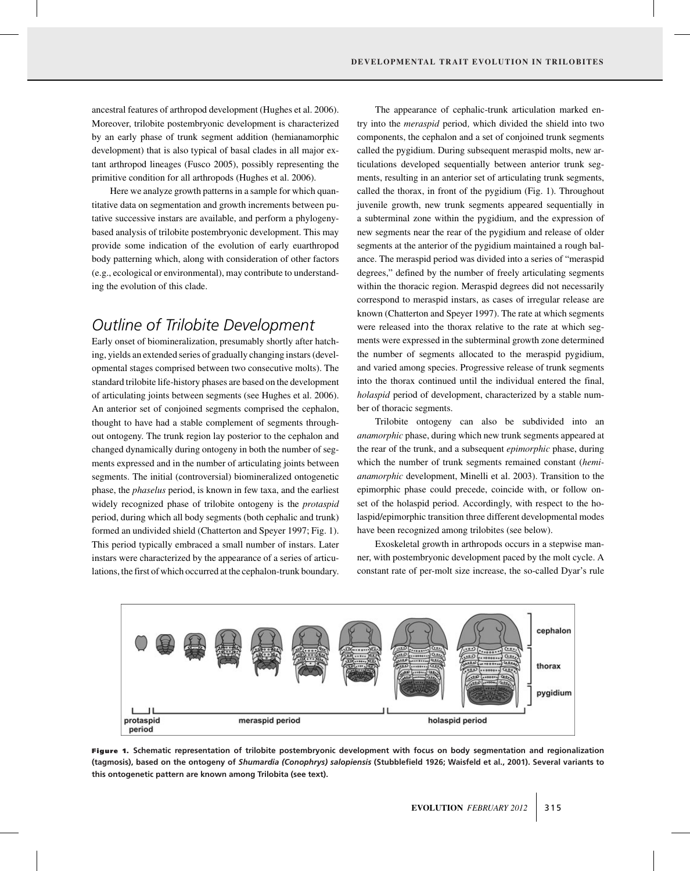ancestral features of arthropod development (Hughes et al. 2006). Moreover, trilobite postembryonic development is characterized by an early phase of trunk segment addition (hemianamorphic development) that is also typical of basal clades in all major extant arthropod lineages (Fusco 2005), possibly representing the primitive condition for all arthropods (Hughes et al. 2006).

Here we analyze growth patterns in a sample for which quantitative data on segmentation and growth increments between putative successive instars are available, and perform a phylogenybased analysis of trilobite postembryonic development. This may provide some indication of the evolution of early euarthropod body patterning which, along with consideration of other factors (e.g., ecological or environmental), may contribute to understanding the evolution of this clade.

# *Outline of Trilobite Development*

Early onset of biomineralization, presumably shortly after hatching, yields an extended series of gradually changing instars (developmental stages comprised between two consecutive molts). The standard trilobite life-history phases are based on the development of articulating joints between segments (see Hughes et al. 2006). An anterior set of conjoined segments comprised the cephalon, thought to have had a stable complement of segments throughout ontogeny. The trunk region lay posterior to the cephalon and changed dynamically during ontogeny in both the number of segments expressed and in the number of articulating joints between segments. The initial (controversial) biomineralized ontogenetic phase, the *phaselus* period, is known in few taxa, and the earliest widely recognized phase of trilobite ontogeny is the *protaspid* period, during which all body segments (both cephalic and trunk) formed an undivided shield (Chatterton and Speyer 1997; Fig. 1). This period typically embraced a small number of instars. Later instars were characterized by the appearance of a series of articulations, the first of which occurred at the cephalon-trunk boundary.

The appearance of cephalic-trunk articulation marked entry into the *meraspid* period*,* which divided the shield into two components, the cephalon and a set of conjoined trunk segments called the pygidium. During subsequent meraspid molts, new articulations developed sequentially between anterior trunk segments, resulting in an anterior set of articulating trunk segments, called the thorax, in front of the pygidium (Fig. 1). Throughout juvenile growth, new trunk segments appeared sequentially in a subterminal zone within the pygidium, and the expression of new segments near the rear of the pygidium and release of older segments at the anterior of the pygidium maintained a rough balance. The meraspid period was divided into a series of "meraspid degrees," defined by the number of freely articulating segments within the thoracic region. Meraspid degrees did not necessarily correspond to meraspid instars, as cases of irregular release are known (Chatterton and Speyer 1997). The rate at which segments were released into the thorax relative to the rate at which segments were expressed in the subterminal growth zone determined the number of segments allocated to the meraspid pygidium, and varied among species. Progressive release of trunk segments into the thorax continued until the individual entered the final, *holaspid* period of development, characterized by a stable number of thoracic segments.

Trilobite ontogeny can also be subdivided into an *anamorphic* phase, during which new trunk segments appeared at the rear of the trunk, and a subsequent *epimorphic* phase, during which the number of trunk segments remained constant (*hemianamorphic* development, Minelli et al. 2003). Transition to the epimorphic phase could precede, coincide with, or follow onset of the holaspid period. Accordingly, with respect to the holaspid/epimorphic transition three different developmental modes have been recognized among trilobites (see below).

Exoskeletal growth in arthropods occurs in a stepwise manner, with postembryonic development paced by the molt cycle. A constant rate of per-molt size increase, the so-called Dyar's rule



**Figure 1. Schematic representation of trilobite postembryonic development with focus on body segmentation and regionalization (tagmosis), based on the ontogeny of** *Shumardia (Conophrys) salopiensis* **(Stubblefield 1926; Waisfeld et al., 2001). Several variants to this ontogenetic pattern are known among Trilobita (see text).**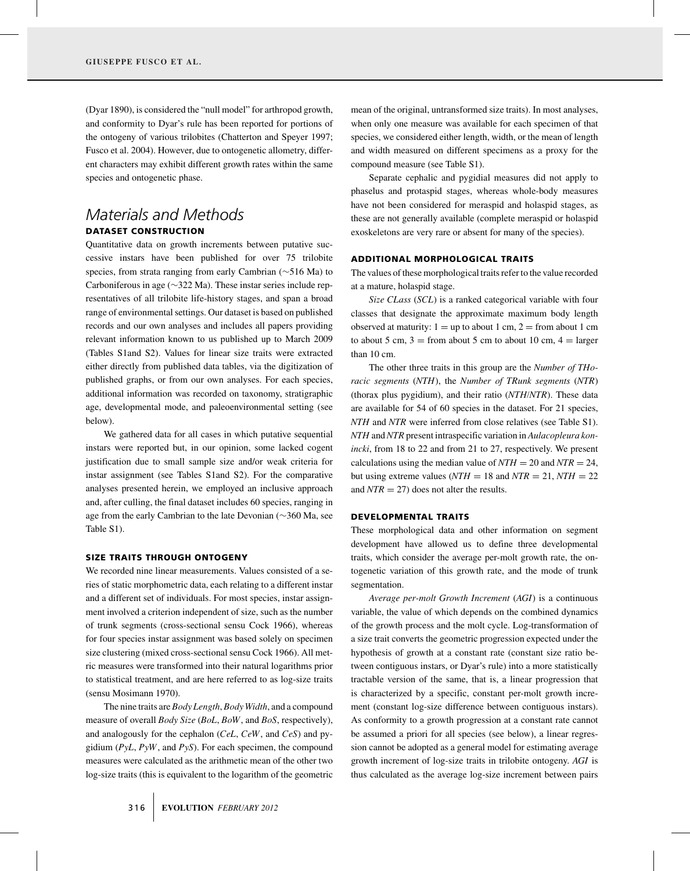(Dyar 1890), is considered the "null model" for arthropod growth, and conformity to Dyar's rule has been reported for portions of the ontogeny of various trilobites (Chatterton and Speyer 1997; Fusco et al. 2004). However, due to ontogenetic allometry, different characters may exhibit different growth rates within the same species and ontogenetic phase.

# *Materials and Methods* **DATASET CONSTRUCTION**

Quantitative data on growth increments between putative successive instars have been published for over 75 trilobite species, from strata ranging from early Cambrian (∼516 Ma) to Carboniferous in age (∼322 Ma). These instar series include representatives of all trilobite life-history stages, and span a broad range of environmental settings. Our dataset is based on published records and our own analyses and includes all papers providing relevant information known to us published up to March 2009 (Tables S1and S2). Values for linear size traits were extracted either directly from published data tables, via the digitization of published graphs, or from our own analyses. For each species, additional information was recorded on taxonomy, stratigraphic age, developmental mode, and paleoenvironmental setting (see below).

We gathered data for all cases in which putative sequential instars were reported but, in our opinion, some lacked cogent justification due to small sample size and/or weak criteria for instar assignment (see Tables S1and S2). For the comparative analyses presented herein, we employed an inclusive approach and, after culling, the final dataset includes 60 species, ranging in age from the early Cambrian to the late Devonian (∼360 Ma, see Table S1).

### **SIZE TRAITS THROUGH ONTOGENY**

We recorded nine linear measurements. Values consisted of a series of static morphometric data, each relating to a different instar and a different set of individuals. For most species, instar assignment involved a criterion independent of size, such as the number of trunk segments (cross-sectional sensu Cock 1966), whereas for four species instar assignment was based solely on specimen size clustering (mixed cross-sectional sensu Cock 1966). All metric measures were transformed into their natural logarithms prior to statistical treatment, and are here referred to as log-size traits (sensu Mosimann 1970).

The nine traits are *Body Length*, *Body Width*, and a compound measure of overall *Body Size* (*BoL*, *BoW*, and *BoS*, respectively), and analogously for the cephalon (*CeL*, *CeW*, and *CeS*) and pygidium (*PyL*, *PyW*, and *PyS*). For each specimen, the compound measures were calculated as the arithmetic mean of the other two log-size traits (this is equivalent to the logarithm of the geometric mean of the original, untransformed size traits). In most analyses, when only one measure was available for each specimen of that species, we considered either length, width, or the mean of length and width measured on different specimens as a proxy for the compound measure (see Table S1).

Separate cephalic and pygidial measures did not apply to phaselus and protaspid stages, whereas whole-body measures have not been considered for meraspid and holaspid stages, as these are not generally available (complete meraspid or holaspid exoskeletons are very rare or absent for many of the species).

# **ADDITIONAL MORPHOLOGICAL TRAITS**

The values of these morphological traits refer to the value recorded at a mature, holaspid stage.

*Size CLass* (*SCL*) is a ranked categorical variable with four classes that designate the approximate maximum body length observed at maturity:  $1 =$  up to about 1 cm,  $2 =$  from about 1 cm to about 5 cm,  $3 =$  from about 5 cm to about 10 cm,  $4 =$  larger than 10 cm.

The other three traits in this group are the *Number of THoracic segments* (*NTH*), the *Number of TRunk segments* (*NTR*) (thorax plus pygidium), and their ratio (*NTH/NTR*). These data are available for 54 of 60 species in the dataset. For 21 species, *NTH* and *NTR* were inferred from close relatives (see Table S1). *NTH* and*NTR* present intraspecific variation in *Aulacopleura konincki*, from 18 to 22 and from 21 to 27, respectively. We present calculations using the median value of  $NTH = 20$  and  $NTR = 24$ , but using extreme values ( $NTH = 18$  and  $NTR = 21$ ,  $NTH = 22$ ) and  $NTR = 27$  does not alter the results.

### **DEVELOPMENTAL TRAITS**

These morphological data and other information on segment development have allowed us to define three developmental traits, which consider the average per-molt growth rate, the ontogenetic variation of this growth rate, and the mode of trunk segmentation.

*Average per-molt Growth Increment* (*AGI*) is a continuous variable, the value of which depends on the combined dynamics of the growth process and the molt cycle. Log-transformation of a size trait converts the geometric progression expected under the hypothesis of growth at a constant rate (constant size ratio between contiguous instars, or Dyar's rule) into a more statistically tractable version of the same, that is, a linear progression that is characterized by a specific, constant per-molt growth increment (constant log-size difference between contiguous instars). As conformity to a growth progression at a constant rate cannot be assumed a priori for all species (see below), a linear regression cannot be adopted as a general model for estimating average growth increment of log-size traits in trilobite ontogeny. *AGI* is thus calculated as the average log-size increment between pairs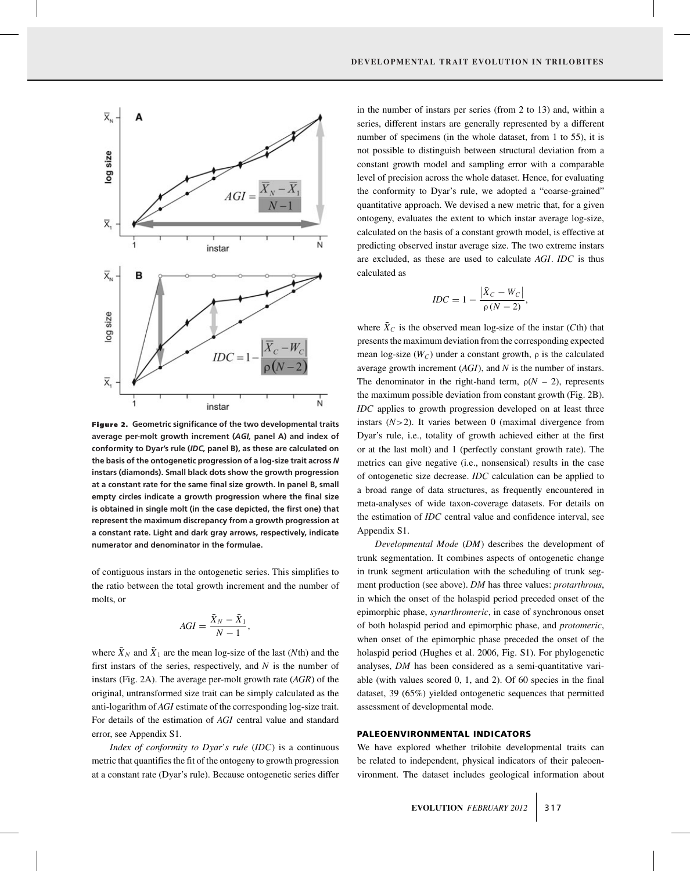

**Figure 2. Geometric significance of the two developmental traits average per-molt growth increment (***AGI,* **panel A) and index of conformity to Dyar's rule (***IDC,* **panel B), as these are calculated on the basis of the ontogenetic progression of a log-size trait across** *N* **instars (diamonds). Small black dots show the growth progression at a constant rate for the same final size growth. In panel B, small empty circles indicate a growth progression where the final size is obtained in single molt (in the case depicted, the first one) that represent the maximum discrepancy from a growth progression at a constant rate. Light and dark gray arrows, respectively, indicate numerator and denominator in the formulae.**

of contiguous instars in the ontogenetic series. This simplifies to the ratio between the total growth increment and the number of molts, or

$$
AGI = \frac{\bar{X}_N - \bar{X}_1}{N - 1},
$$

where  $\bar{X}_N$  and  $\bar{X}_1$  are the mean log-size of the last (*N*th) and the first instars of the series, respectively, and *N* is the number of instars (Fig. 2A). The average per-molt growth rate (*AGR*) of the original, untransformed size trait can be simply calculated as the anti-logarithm of *AGI* estimate of the corresponding log-size trait. For details of the estimation of *AGI* central value and standard error, see Appendix S1.

*Index of conformity to Dyar's rule* (*IDC*) is a continuous metric that quantifies the fit of the ontogeny to growth progression at a constant rate (Dyar's rule). Because ontogenetic series differ in the number of instars per series (from 2 to 13) and, within a series, different instars are generally represented by a different number of specimens (in the whole dataset, from 1 to 55), it is not possible to distinguish between structural deviation from a constant growth model and sampling error with a comparable level of precision across the whole dataset. Hence, for evaluating the conformity to Dyar's rule, we adopted a "coarse-grained" quantitative approach. We devised a new metric that, for a given ontogeny, evaluates the extent to which instar average log-size, calculated on the basis of a constant growth model, is effective at predicting observed instar average size. The two extreme instars are excluded, as these are used to calculate *AGI*. *IDC* is thus calculated as

$$
IDC = 1 - \frac{\left| \bar{X}_C - W_C \right|}{\rho \left( N - 2 \right)},
$$

where  $\bar{X}_C$  is the observed mean log-size of the instar (*Cth*) that presents the maximum deviation from the corresponding expected mean log-size  $(W_C)$  under a constant growth,  $\rho$  is the calculated average growth increment (*AGI*), and *N* is the number of instars. The denominator in the right-hand term,  $\rho(N - 2)$ , represents the maximum possible deviation from constant growth (Fig. 2B). *IDC* applies to growth progression developed on at least three instars (*N*>2). It varies between 0 (maximal divergence from Dyar's rule, i.e., totality of growth achieved either at the first or at the last molt) and 1 (perfectly constant growth rate). The metrics can give negative (i.e., nonsensical) results in the case of ontogenetic size decrease. *IDC* calculation can be applied to a broad range of data structures, as frequently encountered in meta-analyses of wide taxon-coverage datasets. For details on the estimation of *IDC* central value and confidence interval, see Appendix S1.

*Developmental Mode* (*DM*) describes the development of trunk segmentation. It combines aspects of ontogenetic change in trunk segment articulation with the scheduling of trunk segment production (see above). *DM* has three values: *protarthrous*, in which the onset of the holaspid period preceded onset of the epimorphic phase, *synarthromeric*, in case of synchronous onset of both holaspid period and epimorphic phase, and *protomeric*, when onset of the epimorphic phase preceded the onset of the holaspid period (Hughes et al. 2006, Fig. S1). For phylogenetic analyses, *DM* has been considered as a semi-quantitative variable (with values scored 0, 1, and 2). Of 60 species in the final dataset, 39 (65%) yielded ontogenetic sequences that permitted assessment of developmental mode.

#### **PALEOENVIRONMENTAL INDICATORS**

We have explored whether trilobite developmental traits can be related to independent, physical indicators of their paleoenvironment. The dataset includes geological information about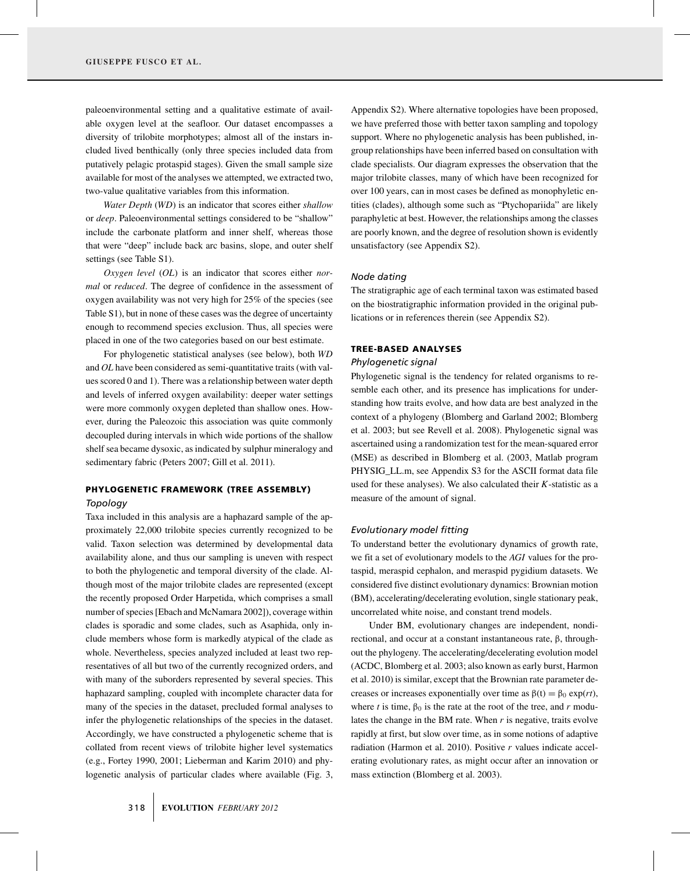paleoenvironmental setting and a qualitative estimate of available oxygen level at the seafloor. Our dataset encompasses a diversity of trilobite morphotypes; almost all of the instars included lived benthically (only three species included data from putatively pelagic protaspid stages). Given the small sample size available for most of the analyses we attempted, we extracted two, two-value qualitative variables from this information.

*Water Depth* (*WD*) is an indicator that scores either *shallow* or *deep*. Paleoenvironmental settings considered to be "shallow" include the carbonate platform and inner shelf, whereas those that were "deep" include back arc basins, slope, and outer shelf settings (see Table S1).

*Oxygen level* (*OL*) is an indicator that scores either *normal* or *reduced*. The degree of confidence in the assessment of oxygen availability was not very high for 25% of the species (see Table S1), but in none of these cases was the degree of uncertainty enough to recommend species exclusion. Thus, all species were placed in one of the two categories based on our best estimate.

For phylogenetic statistical analyses (see below), both *WD* and *OL* have been considered as semi-quantitative traits (with values scored 0 and 1). There was a relationship between water depth and levels of inferred oxygen availability: deeper water settings were more commonly oxygen depleted than shallow ones. However, during the Paleozoic this association was quite commonly decoupled during intervals in which wide portions of the shallow shelf sea became dysoxic, as indicated by sulphur mineralogy and sedimentary fabric (Peters 2007; Gill et al. 2011).

# **PHYLOGENETIC FRAMEWORK (TREE ASSEMBLY)**

# *Topology*

Taxa included in this analysis are a haphazard sample of the approximately 22,000 trilobite species currently recognized to be valid. Taxon selection was determined by developmental data availability alone, and thus our sampling is uneven with respect to both the phylogenetic and temporal diversity of the clade. Although most of the major trilobite clades are represented (except the recently proposed Order Harpetida, which comprises a small number of species [Ebach and McNamara 2002]), coverage within clades is sporadic and some clades, such as Asaphida, only include members whose form is markedly atypical of the clade as whole. Nevertheless, species analyzed included at least two representatives of all but two of the currently recognized orders, and with many of the suborders represented by several species. This haphazard sampling, coupled with incomplete character data for many of the species in the dataset, precluded formal analyses to infer the phylogenetic relationships of the species in the dataset. Accordingly, we have constructed a phylogenetic scheme that is collated from recent views of trilobite higher level systematics (e.g., Fortey 1990, 2001; Lieberman and Karim 2010) and phylogenetic analysis of particular clades where available (Fig. 3,

Appendix S2). Where alternative topologies have been proposed, we have preferred those with better taxon sampling and topology support. Where no phylogenetic analysis has been published, ingroup relationships have been inferred based on consultation with clade specialists. Our diagram expresses the observation that the major trilobite classes, many of which have been recognized for over 100 years, can in most cases be defined as monophyletic entities (clades), although some such as "Ptychopariida" are likely paraphyletic at best. However, the relationships among the classes are poorly known, and the degree of resolution shown is evidently unsatisfactory (see Appendix S2).

### *Node dating*

The stratigraphic age of each terminal taxon was estimated based on the biostratigraphic information provided in the original publications or in references therein (see Appendix S2).

### **TREE-BASED ANALYSES**

#### *Phylogenetic signal*

Phylogenetic signal is the tendency for related organisms to resemble each other, and its presence has implications for understanding how traits evolve, and how data are best analyzed in the context of a phylogeny (Blomberg and Garland 2002; Blomberg et al. 2003; but see Revell et al. 2008). Phylogenetic signal was ascertained using a randomization test for the mean-squared error (MSE) as described in Blomberg et al. (2003, Matlab program PHYSIG\_LL.m, see Appendix S3 for the ASCII format data file used for these analyses). We also calculated their *K*-statistic as a measure of the amount of signal.

#### *Evolutionary model fitting*

To understand better the evolutionary dynamics of growth rate, we fit a set of evolutionary models to the *AGI* values for the protaspid, meraspid cephalon, and meraspid pygidium datasets. We considered five distinct evolutionary dynamics: Brownian motion (BM), accelerating/decelerating evolution, single stationary peak, uncorrelated white noise, and constant trend models.

Under BM, evolutionary changes are independent, nondirectional, and occur at a constant instantaneous rate, β, throughout the phylogeny. The accelerating/decelerating evolution model (ACDC, Blomberg et al. 2003; also known as early burst, Harmon et al. 2010) is similar, except that the Brownian rate parameter decreases or increases exponentially over time as  $\beta(t) = \beta_0 \exp(rt)$ , where *t* is time,  $\beta_0$  is the rate at the root of the tree, and *r* modulates the change in the BM rate. When *r* is negative, traits evolve rapidly at first, but slow over time, as in some notions of adaptive radiation (Harmon et al. 2010). Positive *r* values indicate accelerating evolutionary rates, as might occur after an innovation or mass extinction (Blomberg et al. 2003).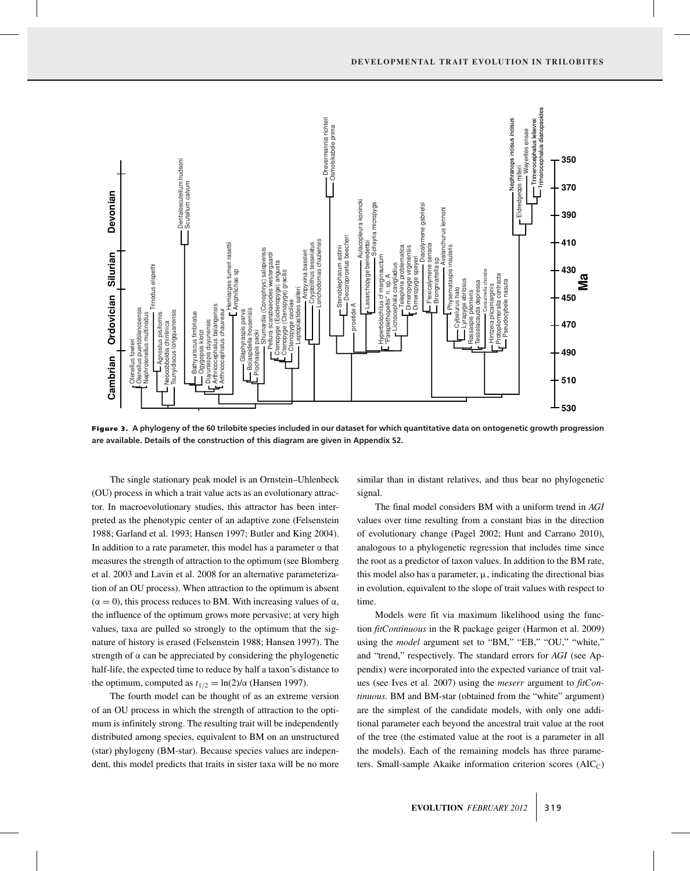

**Figure 3. A phylogeny of the 60 trilobite species included in our dataset for which quantitative data on ontogenetic growth progression are available. Details of the construction of this diagram are given in Appendix S2.**

The single stationary peak model is an Ornstein–Uhlenbeck (OU) process in which a trait value acts as an evolutionary attractor. In macroevolutionary studies, this attractor has been interpreted as the phenotypic center of an adaptive zone (Felsenstein 1988; Garland et al. 1993; Hansen 1997; Butler and King 2004). In addition to a rate parameter, this model has a parameter  $\alpha$  that measures the strength of attraction to the optimum (see Blomberg et al. 2003 and Lavin et al. 2008 for an alternative parameterization of an OU process). When attraction to the optimum is absent  $(\alpha = 0)$ , this process reduces to BM. With increasing values of  $\alpha$ , the influence of the optimum grows more pervasive; at very high values, taxa are pulled so strongly to the optimum that the signature of history is erased (Felsenstein 1988; Hansen 1997). The strength of  $\alpha$  can be appreciated by considering the phylogenetic half-life, the expected time to reduce by half a taxon's distance to the optimum, computed as  $t_{1/2} = \ln(2)/\alpha$  (Hansen 1997).

The fourth model can be thought of as an extreme version of an OU process in which the strength of attraction to the optimum is infinitely strong. The resulting trait will be independently distributed among species, equivalent to BM on an unstructured (star) phylogeny (BM-star). Because species values are independent, this model predicts that traits in sister taxa will be no more

similar than in distant relatives, and thus bear no phylogenetic signal.

The final model considers BM with a uniform trend in *AGI* values over time resulting from a constant bias in the direction of evolutionary change (Pagel 2002; Hunt and Carrano 2010), analogous to a phylogenetic regression that includes time since the root as a predictor of taxon values. In addition to the BM rate, this model also has a parameter,  $\mu$ , indicating the directional bias in evolution, equivalent to the slope of trait values with respect to time.

Models were fit via maximum likelihood using the function *fitContinuous* in the R package geiger (Harmon et al. 2009) using the *model* argument set to "BM," "EB," "OU," "white," and "trend," respectively. The standard errors for *AGI* (see Appendix) were incorporated into the expected variance of trait values (see Ives et al. 2007) using the *meserr* argument to *fitContinuous*. BM and BM-star (obtained from the "white" argument) are the simplest of the candidate models, with only one additional parameter each beyond the ancestral trait value at the root of the tree (the estimated value at the root is a parameter in all the models). Each of the remaining models has three parameters. Small-sample Akaike information criterion scores  $(AIC_C)$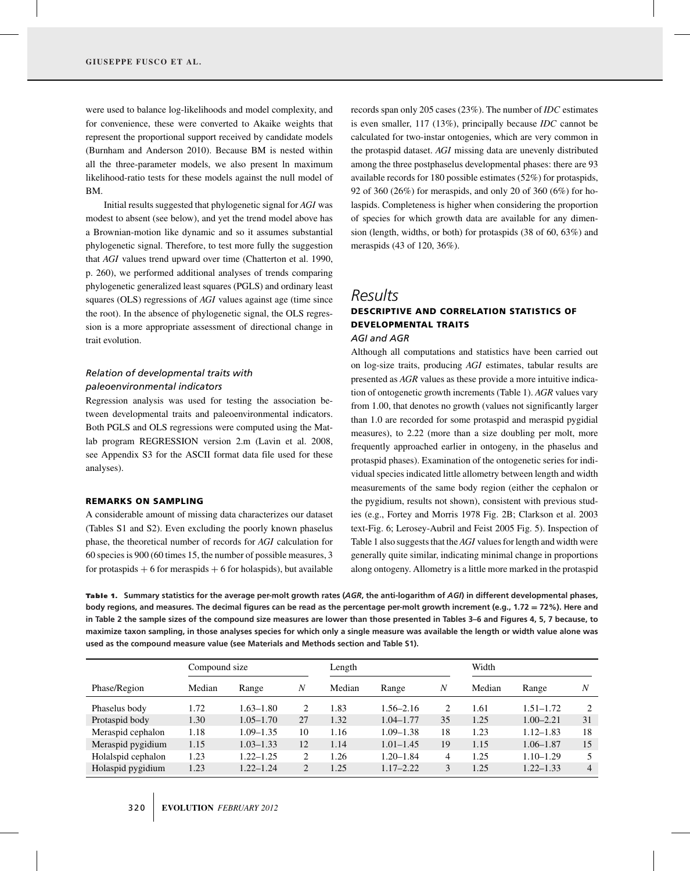were used to balance log-likelihoods and model complexity, and for convenience, these were converted to Akaike weights that represent the proportional support received by candidate models (Burnham and Anderson 2010). Because BM is nested within all the three-parameter models, we also present ln maximum likelihood-ratio tests for these models against the null model of BM.

Initial results suggested that phylogenetic signal for *AGI* was modest to absent (see below), and yet the trend model above has a Brownian-motion like dynamic and so it assumes substantial phylogenetic signal. Therefore, to test more fully the suggestion that *AGI* values trend upward over time (Chatterton et al. 1990, p. 260), we performed additional analyses of trends comparing phylogenetic generalized least squares (PGLS) and ordinary least squares (OLS) regressions of *AGI* values against age (time since the root). In the absence of phylogenetic signal, the OLS regression is a more appropriate assessment of directional change in trait evolution.

# *Relation of developmental traits with paleoenvironmental indicators*

Regression analysis was used for testing the association between developmental traits and paleoenvironmental indicators. Both PGLS and OLS regressions were computed using the Matlab program REGRESSION version 2.m (Lavin et al. 2008, see Appendix S3 for the ASCII format data file used for these analyses).

# **REMARKS ON SAMPLING**

A considerable amount of missing data characterizes our dataset (Tables S1 and S2). Even excluding the poorly known phaselus phase, the theoretical number of records for *AGI* calculation for 60 species is 900 (60 times 15, the number of possible measures, 3 for protaspids  $+ 6$  for meraspids  $+ 6$  for holaspids), but available records span only 205 cases (23%). The number of *IDC* estimates is even smaller, 117 (13%), principally because *IDC* cannot be calculated for two-instar ontogenies, which are very common in the protaspid dataset. *AGI* missing data are unevenly distributed among the three postphaselus developmental phases: there are 93 available records for 180 possible estimates (52%) for protaspids, 92 of 360 (26%) for meraspids, and only 20 of 360 (6%) for holaspids. Completeness is higher when considering the proportion of species for which growth data are available for any dimension (length, widths, or both) for protaspids (38 of 60, 63%) and meraspids (43 of 120, 36%).

# *Results*

# **DESCRIPTIVE AND CORRELATION STATISTICS OF DEVELOPMENTAL TRAITS**

# *AGI and AGR*

Although all computations and statistics have been carried out on log-size traits, producing *AGI* estimates, tabular results are presented as *AGR* values as these provide a more intuitive indication of ontogenetic growth increments (Table 1). *AGR* values vary from 1.00, that denotes no growth (values not significantly larger than 1.0 are recorded for some protaspid and meraspid pygidial measures), to 2.22 (more than a size doubling per molt, more frequently approached earlier in ontogeny, in the phaselus and protaspid phases). Examination of the ontogenetic series for individual species indicated little allometry between length and width measurements of the same body region (either the cephalon or the pygidium, results not shown), consistent with previous studies (e.g., Fortey and Morris 1978 Fig. 2B; Clarkson et al. 2003 text-Fig. 6; Lerosey-Aubril and Feist 2005 Fig. 5). Inspection of Table 1 also suggests that the *AGI* values for length and width were generally quite similar, indicating minimal change in proportions along ontogeny. Allometry is a little more marked in the protaspid

**Tab le 1 . Summary statistics for the average per-molt growth rates (***AGR***, the anti-logarithm of** *AGI***) in different developmental phases, body regions, and measures. The decimal figures can be read as the percentage per-molt growth increment (e.g., 1.72 = 72%). Here and in Table 2 the sample sizes of the compound size measures are lower than those presented in Tables 3–6 and Figures 4, 5, 7 because, to maximize taxon sampling, in those analyses species for which only a single measure was available the length or width value alone was used as the compound measure value (see Materials and Methods section and Table S1).**

|                    | Compound size |               |    | Length |               | Width |        |               |                |
|--------------------|---------------|---------------|----|--------|---------------|-------|--------|---------------|----------------|
| Phase/Region       | Median        | Range         | N  | Median | Range         | N     | Median | Range         | Ν              |
| Phaselus body      | 1.72          | $1.63 - 1.80$ | 2  | 1.83   | $1.56 - 2.16$ |       | 1.61   | $1.51 - 1.72$ | 2              |
| Protaspid body     | 1.30          | $1.05 - 1.70$ | 27 | 1.32   | $1.04 - 1.77$ | 35    | 1.25   | $1.00 - 2.21$ | 31             |
| Meraspid cephalon  | 1.18          | 1.09–1.35     | 10 | 1.16   | 1.09–1.38     | 18    | 1.23   | $1.12 - 1.83$ | 18             |
| Meraspid pygidium  | 1.15          | $1.03 - 1.33$ | 12 | 1.14   | $1.01 - 1.45$ | 19    | 1.15   | $1.06 - 1.87$ | 15             |
| Holalspid cephalon | 1.23          | $1.22 - 1.25$ | 2  | 1.26   | 1.20–1.84     | 4     | 1.25   | $1.10 - 1.29$ | 5              |
| Holaspid pygidium  | 1.23          | $1.22 - 1.24$ | 2  | 1.25   | $1.17 - 2.22$ | 3     | 1.25   | $1.22 - 1.33$ | $\overline{4}$ |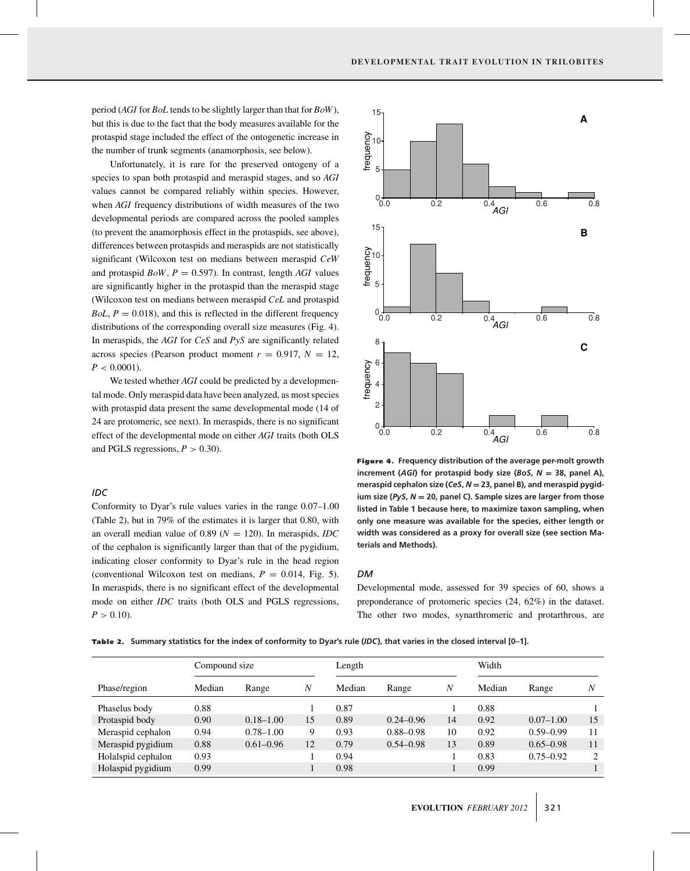period (*AGI* for *BoL* tends to be slightly larger than that for *BoW*), but this is due to the fact that the body measures available for the protaspid stage included the effect of the ontogenetic increase in the number of trunk segments (anamorphosis, see below).

Unfortunately, it is rare for the preserved ontogeny of a species to span both protaspid and meraspid stages, and so *AGI* values cannot be compared reliably within species. However, when *AGI* frequency distributions of width measures of the two developmental periods are compared across the pooled samples (to prevent the anamorphosis effect in the protaspids, see above), differences between protaspids and meraspids are not statistically significant (Wilcoxon test on medians between meraspid *CeW* and protaspid  $B \circ W$ ,  $P = 0.597$ ). In contrast, length *AGI* values are significantly higher in the protaspid than the meraspid stage (Wilcoxon test on medians between meraspid *CeL* and protaspid  $BoL$ ,  $P = 0.018$ ), and this is reflected in the different frequency distributions of the corresponding overall size measures (Fig. 4). In meraspids, the *AGI* for *CeS* and *PyS* are significantly related across species (Pearson product moment  $r = 0.917$ ,  $N = 12$ ,  $P < 0.0001$ ).

We tested whether *AGI* could be predicted by a developmental mode. Only meraspid data have been analyzed, as most species with protaspid data present the same developmental mode (14 of 24 are protomeric, see next). In meraspids, there is no significant effect of the developmental mode on either *AGI* traits (both OLS and PGLS regressions,  $P > 0.30$ ).

# *IDC*

Conformity to Dyar's rule values varies in the range 0.07–1.00 (Table 2), but in 79% of the estimates it is larger that 0.80, with an overall median value of 0.89 (*N* = 120). In meraspids, *IDC* of the cephalon is significantly larger than that of the pygidium, indicating closer conformity to Dyar's rule in the head region (conventional Wilcoxon test on medians,  $P = 0.014$ , Fig. 5). In meraspids, there is no significant effect of the developmental mode on either *IDC* traits (both OLS and PGLS regressions,  $P > 0.10$ .



**Figure 4. Frequency distribution of the average per-molt growth increment (***AGI***) for protaspid body size (***BoS***,** *N* **= 38, panel A), meraspid cephalon size (***CeS***,** *N* **= 23, panel B), and meraspid pygidium size (***PyS***,** *N* **= 20, panel C). Sample sizes are larger from those listed in Table 1 because here, to maximize taxon sampling, when only one measure was available for the species, either length or width was considered as a proxy for overall size (see section Materials and Methods).**

#### *DM*

Developmental mode, assessed for 39 species of 60, shows a preponderance of protomeric species (24, 62%) in the dataset. The other two modes, synarthromeric and protarthrous, are

|  |  |  | Table 2. Summary statistics for the index of conformity to Dyar's rule (IDC), that varies in the closed interval [0–1]. |  |  |  |  |  |
|--|--|--|-------------------------------------------------------------------------------------------------------------------------|--|--|--|--|--|
|--|--|--|-------------------------------------------------------------------------------------------------------------------------|--|--|--|--|--|

| Compound size |               |                  | Length |               | Width            |        |               |                  |
|---------------|---------------|------------------|--------|---------------|------------------|--------|---------------|------------------|
| Median        | Range         | $\boldsymbol{N}$ | Median | Range         | $\boldsymbol{N}$ | Median | Range         | $\boldsymbol{N}$ |
| 0.88          |               |                  | 0.87   |               |                  | 0.88   |               |                  |
| 0.90          | $0.18 - 1.00$ | 15               | 0.89   | $0.24 - 0.96$ | 14               | 0.92   | $0.07 - 1.00$ | 15               |
| 0.94          | $0.78 - 1.00$ | 9                | 0.93   | $0.88 - 0.98$ | 10               | 0.92   | $0.59 - 0.99$ | 11               |
| 0.88          | $0.61 - 0.96$ | 12               | 0.79   | $0.54 - 0.98$ | 13               | 0.89   | $0.65 - 0.98$ | 11               |
| 0.93          |               |                  | 0.94   |               |                  | 0.83   | $0.75 - 0.92$ | 2                |
| 0.99          |               |                  | 0.98   |               |                  | 0.99   |               |                  |
|               |               |                  |        |               |                  |        |               |                  |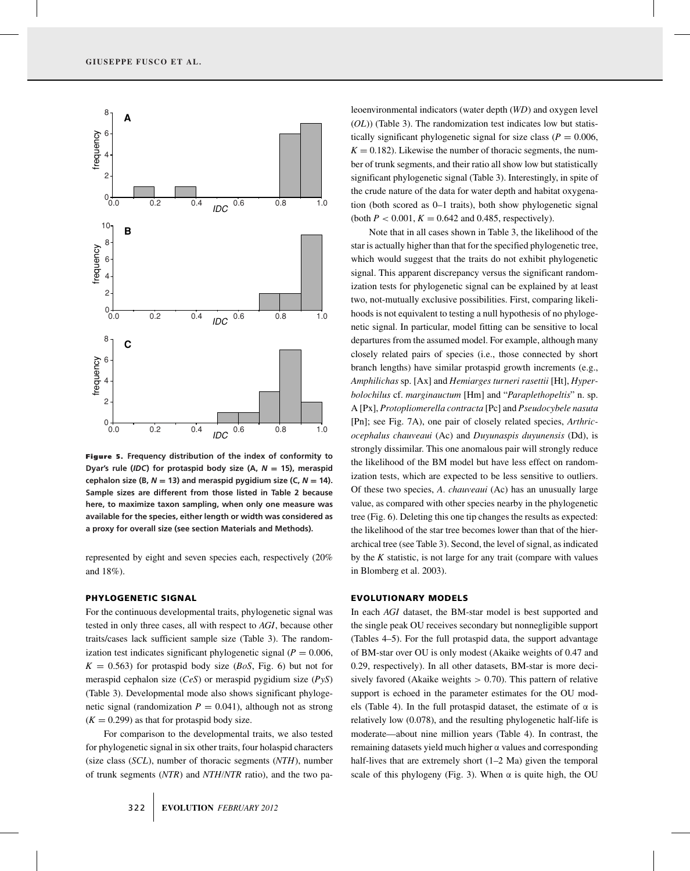

**Figure 5. Frequency distribution of the index of conformity to Dyar's rule (***IDC***) for protaspid body size (A,** *N* **= 15), meraspid cephalon size (B,**  $N = 13$ **) and meraspid pygidium size (C,**  $N = 14$ **). Sample sizes are different from those listed in Table 2 because here, to maximize taxon sampling, when only one measure was available for the species, either length or width was considered as a proxy for overall size (see section Materials and Methods).**

represented by eight and seven species each, respectively (20% and 18%).

### **PHYLOGENETIC SIGNAL**

For the continuous developmental traits, phylogenetic signal was tested in only three cases, all with respect to *AGI*, because other traits/cases lack sufficient sample size (Table 3). The randomization test indicates significant phylogenetic signal  $(P = 0.006,$  $K = 0.563$ ) for protaspid body size (*BoS*, Fig. 6) but not for meraspid cephalon size (*CeS*) or meraspid pygidium size (*PyS*) (Table 3). Developmental mode also shows significant phylogenetic signal (randomization  $P = 0.041$ ), although not as strong  $(K = 0.299)$  as that for protaspid body size.

For comparison to the developmental traits, we also tested for phylogenetic signal in six other traits, four holaspid characters (size class (*SCL*), number of thoracic segments (*NTH*), number of trunk segments (*NTR*) and *NTH/NTR* ratio), and the two paleoenvironmental indicators (water depth (*WD*) and oxygen level (*OL*)) (Table 3). The randomization test indicates low but statistically significant phylogenetic signal for size class ( $P = 0.006$ ,  $K = 0.182$ ). Likewise the number of thoracic segments, the number of trunk segments, and their ratio all show low but statistically significant phylogenetic signal (Table 3). Interestingly, in spite of the crude nature of the data for water depth and habitat oxygenation (both scored as 0–1 traits), both show phylogenetic signal (both  $P < 0.001$ ,  $K = 0.642$  and 0.485, respectively).

Note that in all cases shown in Table 3, the likelihood of the star is actually higher than that for the specified phylogenetic tree, which would suggest that the traits do not exhibit phylogenetic signal. This apparent discrepancy versus the significant randomization tests for phylogenetic signal can be explained by at least two, not-mutually exclusive possibilities. First, comparing likelihoods is not equivalent to testing a null hypothesis of no phylogenetic signal. In particular, model fitting can be sensitive to local departures from the assumed model. For example, although many closely related pairs of species (i.e., those connected by short branch lengths) have similar protaspid growth increments (e.g., *Amphilichas* sp. [Ax] and *Hemiarges turneri rasettii* [Ht], *Hyperbolochilus* cf. *marginauctum* [Hm] and "*Paraplethopeltis*" n. sp. A [Px], *Protopliomerella contracta* [Pc] and *Pseudocybele nasuta* [Pn]; see Fig. 7A), one pair of closely related species, *Arthricocephalus chauveaui* (Ac) and *Duyunaspis duyunensis* (Dd), is strongly dissimilar. This one anomalous pair will strongly reduce the likelihood of the BM model but have less effect on randomization tests, which are expected to be less sensitive to outliers. Of these two species, *A. chauveaui* (Ac) has an unusually large value, as compared with other species nearby in the phylogenetic tree (Fig. 6). Deleting this one tip changes the results as expected: the likelihood of the star tree becomes lower than that of the hierarchical tree (see Table 3). Second, the level of signal, as indicated by the  $K$  statistic, is not large for any trait (compare with values in Blomberg et al. 2003).

### **EVOLUTIONARY MODELS**

In each *AGI* dataset, the BM-star model is best supported and the single peak OU receives secondary but nonnegligible support (Tables 4–5). For the full protaspid data, the support advantage of BM-star over OU is only modest (Akaike weights of 0.47 and 0.29, respectively). In all other datasets, BM-star is more decisively favored (Akaike weights  $> 0.70$ ). This pattern of relative support is echoed in the parameter estimates for the OU models (Table 4). In the full protaspid dataset, the estimate of  $\alpha$  is relatively low (0.078), and the resulting phylogenetic half-life is moderate—about nine million years (Table 4). In contrast, the remaining datasets yield much higher α values and corresponding half-lives that are extremely short (1–2 Ma) given the temporal scale of this phylogeny (Fig. 3). When  $\alpha$  is quite high, the OU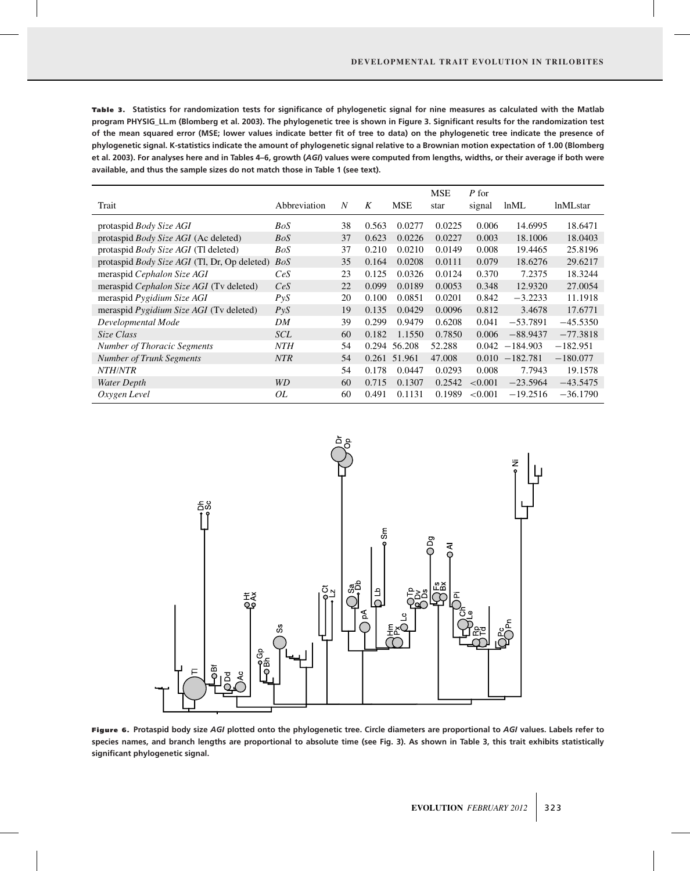Table 3. Statistics for randomization tests for significance of phylogenetic signal for nine measures as calculated with the Matlab **program PHYSIG\_LL.m (Blomberg et al. 2003). The phylogenetic tree is shown in Figure 3. Significant results for the randomization test of the mean squared error (MSE; lower values indicate better fit of tree to data) on the phylogenetic tree indicate the presence of phylogenetic signal. K-statistics indicate the amount of phylogenetic signal relative to a Brownian motion expectation of 1.00 (Blomberg et al. 2003). For analyses here and in Tables 4–6, growth (***AGI***) values were computed from lengths, widths, or their average if both were available, and thus the sample sizes do not match those in Table 1 (see text).**

| Trait                                               | Abbreviation     | N  | K     | MSE          | <b>MSE</b><br>star | P for<br>signal | lnML       | <b>lnML</b> star |
|-----------------------------------------------------|------------------|----|-------|--------------|--------------------|-----------------|------------|------------------|
|                                                     |                  |    |       |              |                    |                 |            |                  |
| protaspid <i>Body Size AGI</i>                      | BoS              | 38 | 0.563 | 0.0277       | 0.0225             | 0.006           | 14.6995    | 18.6471          |
| protaspid <i>Body Size AGI</i> (Ac deleted)         | BoS              | 37 | 0.623 | 0.0226       | 0.0227             | 0.003           | 18.1006    | 18.0403          |
| protaspid <i>Body Size AGI</i> (Tl deleted)         | BoS              | 37 | 0.210 | 0.0210       | 0.0149             | 0.008           | 19.4465    | 25.8196          |
| protaspid <i>Body Size AGI</i> (Tl, Dr, Op deleted) | BoS              | 35 | 0.164 | 0.0208       | 0.0111             | 0.079           | 18.6276    | 29.6217          |
| meraspid Cephalon Size AGI                          | CeS              | 23 | 0.125 | 0.0326       | 0.0124             | 0.370           | 7.2375     | 18.3244          |
| meraspid Cephalon Size AGI (Tv deleted)             | CeS              | 22 | 0.099 | 0.0189       | 0.0053             | 0.348           | 12.9320    | 27.0054          |
| meraspid Pygidium Size AGI                          | P <sub>y</sub> S | 20 | 0.100 | 0.0851       | 0.0201             | 0.842           | $-3.2233$  | 11.1918          |
| meraspid <i>Pygidium Size AGI</i> (Tv deleted)      | $P\gamma S$      | 19 | 0.135 | 0.0429       | 0.0096             | 0.812           | 3.4678     | 17.6771          |
| Developmental Mode                                  | DΜ               | 39 | 0.299 | 0.9479       | 0.6208             | 0.041           | $-53.7891$ | $-45.5350$       |
| Size Class                                          | <b>SCL</b>       | 60 | 0.182 | 1.1550       | 0.7850             | 0.006           | $-88.9437$ | $-77.3818$       |
| <b>Number of Thoracic Segments</b>                  | NTH              | 54 | 0.294 | 56.208       | 52.288             | 0.042           | $-184.903$ | $-182.951$       |
| <b>Number of Trunk Segments</b>                     | NTR              | 54 |       | 0.261 51.961 | 47.008             | 0.010           | $-182.781$ | $-180.077$       |
| <i>NTH/NTR</i>                                      |                  | 54 | 0.178 | 0.0447       | 0.0293             | 0.008           | 7.7943     | 19.1578          |
| Water Depth                                         | <b>WD</b>        | 60 | 0.715 | 0.1307       | 0.2542             | ${<}0.001$      | $-23.5964$ | $-43.5475$       |
| Oxygen Level                                        | 0L               | 60 | 0.491 | 0.1131       | 0.1989             | < 0.001         | $-19.2516$ | $-36.1790$       |



**Figure 6. Protaspid body size** *AGI* **plotted onto the phylogenetic tree. Circle diameters are proportional to** *AGI* **values. Labels refer to species names, and branch lengths are proportional to absolute time (see Fig. 3). As shown in Table 3, this trait exhibits statistically significant phylogenetic signal.**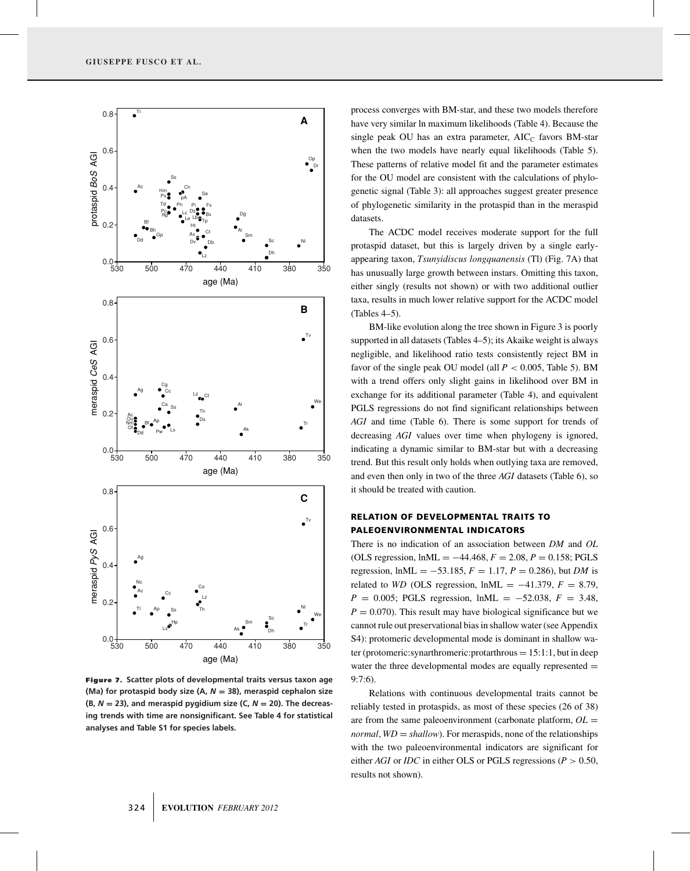

**Figure 7. Scatter plots of developmental traits versus taxon age (Ma) for protaspid body size (A,** *N* **= 38), meraspid cephalon size**  $(R, N = 23)$ , and meraspid pygidium size  $(C, N = 20)$ . The decreas**ing trends with time are nonsignificant. See Table 4 for statistical analyses and Table S1 for species labels.**

process converges with BM-star, and these two models therefore have very similar ln maximum likelihoods (Table 4). Because the single peak OU has an extra parameter,  $AIC_C$  favors BM-star when the two models have nearly equal likelihoods (Table 5). These patterns of relative model fit and the parameter estimates for the OU model are consistent with the calculations of phylogenetic signal (Table 3): all approaches suggest greater presence of phylogenetic similarity in the protaspid than in the meraspid datasets.

The ACDC model receives moderate support for the full protaspid dataset, but this is largely driven by a single earlyappearing taxon, *Tsunyidiscus longquanensis* (Tl) (Fig. 7A) that has unusually large growth between instars. Omitting this taxon, either singly (results not shown) or with two additional outlier taxa, results in much lower relative support for the ACDC model (Tables 4–5).

BM-like evolution along the tree shown in Figure 3 is poorly supported in all datasets (Tables 4–5); its Akaike weight is always negligible, and likelihood ratio tests consistently reject BM in favor of the single peak OU model (all  $P < 0.005$ , Table 5). BM with a trend offers only slight gains in likelihood over BM in exchange for its additional parameter (Table 4), and equivalent PGLS regressions do not find significant relationships between *AGI* and time (Table 6). There is some support for trends of decreasing *AGI* values over time when phylogeny is ignored, indicating a dynamic similar to BM-star but with a decreasing trend. But this result only holds when outlying taxa are removed, and even then only in two of the three *AGI* datasets (Table 6), so it should be treated with caution.

# **RELATION OF DEVELOPMENTAL TRAITS TO PALEOENVIRONMENTAL INDICATORS**

There is no indication of an association between *DM* and *OL* (OLS regression,  $lnML = -44.468$ ,  $F = 2.08$ ,  $P = 0.158$ ; PGLS regression,  $lnML = -53.185$ ,  $F = 1.17$ ,  $P = 0.286$ ), but *DM* is related to *WD* (OLS regression, lnML =  $-41.379$ ,  $F = 8.79$ , *P* = 0.005; PGLS regression, lnML = −52.038, *F* = 3.48,  $P = 0.070$ . This result may have biological significance but we cannot rule out preservational bias in shallow water (see Appendix S4): protomeric developmental mode is dominant in shallow water (protomeric: synarthromeric: protarthrous  $= 15:1:1$ , but in deep water the three developmental modes are equally represented  $=$ 9:7:6).

Relations with continuous developmental traits cannot be reliably tested in protaspids, as most of these species (26 of 38) are from the same paleoenvironment (carbonate platform, *OL* = *normal*,  $WD = shallow$ ). For meraspids, none of the relationships with the two paleoenvironmental indicators are significant for either *AGI* or *IDC* in either OLS or PGLS regressions ( $P > 0.50$ , results not shown).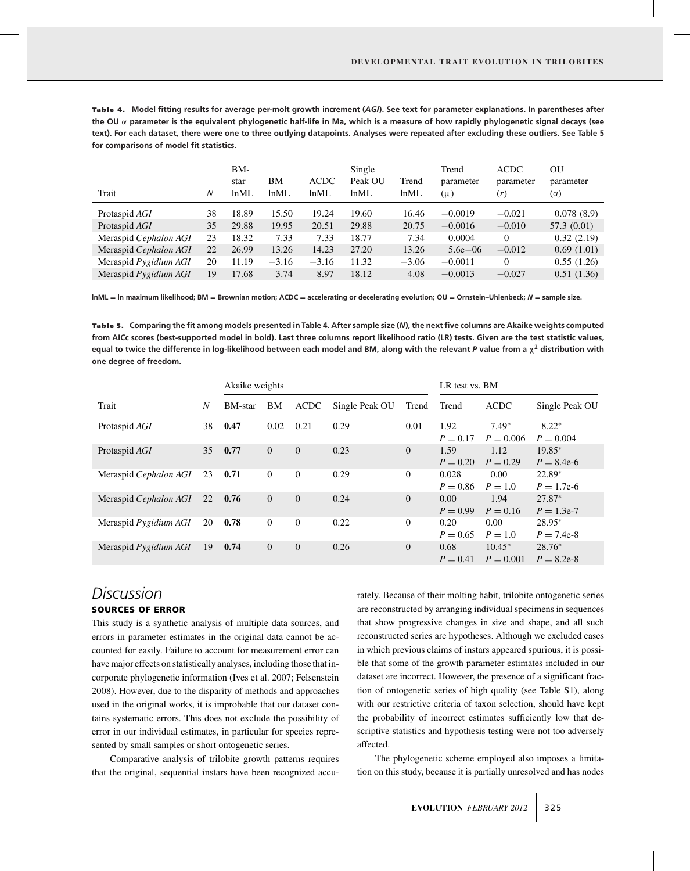| <b>Table 4.</b> Model fitting results for average per-molt growth increment (AGI). See text for parameter explanations. In parentheses after |
|----------------------------------------------------------------------------------------------------------------------------------------------|
| the OU $\alpha$ parameter is the equivalent phylogenetic half-life in Ma, which is a measure of how rapidly phylogenetic signal decays (see  |
| text). For each dataset, there were one to three outlying datapoints. Analyses were repeated after excluding these outliers. See Table 5     |
| for comparisons of model fit statistics.                                                                                                     |

| Trait                        | N  | BM-<br>star<br>lnML | BM<br>lnML | <b>ACDC</b><br>lnML | Single<br>Peak OU<br>lnML | Trend<br>lnML | Trend<br>parameter<br>$(\mu)$ | <b>ACDC</b><br>parameter<br>(r) | OU<br>parameter<br>$(\alpha)$ |
|------------------------------|----|---------------------|------------|---------------------|---------------------------|---------------|-------------------------------|---------------------------------|-------------------------------|
| Protaspid AGI                | 38 | 18.89               | 15.50      | 19.24               | 19.60                     | 16.46         | $-0.0019$                     | $-0.021$                        | 0.078(8.9)                    |
| Protaspid AGI                | 35 | 29.88               | 19.95      | 20.51               | 29.88                     | 20.75         | $-0.0016$                     | $-0.010$                        | 57.3 (0.01)                   |
| Meraspid Cephalon AGI        | 23 | 18.32               | 7.33       | 7.33                | 18.77                     | 7.34          | 0.0004                        | $\theta$                        | 0.32(2.19)                    |
| Meraspid Cephalon AGI        | 22 | 26.99               | 13.26      | 14.23               | 27.20                     | 13.26         | $5.6e - 06$                   | $-0.012$                        | 0.69(1.01)                    |
| Meraspid <i>Pygidium AGI</i> | 20 | 11.19               | $-3.16$    | $-3.16$             | 11.32                     | $-3.06$       | $-0.0011$                     | $\Omega$                        | 0.55(1.26)                    |
| Meraspid Pygidium AGI        | 19 | 17.68               | 3.74       | 8.97                | 18.12                     | 4.08          | $-0.0013$                     | $-0.027$                        | 0.51(1.36)                    |

**lnML = ln maximum likelihood; BM = Brownian motion; ACDC = accelerating or decelerating evolution; OU = Ornstein–Uhlenbeck;** *N* **= sample size.**

**Tab le 5 . Comparing the fit among models presented in Table 4. After sample size (***N***), the next five columns are Akaike weights computed from AICc scores (best-supported model in bold). Last three columns report likelihood ratio (LR) tests. Given are the test statistic values, equal to twice the difference in log-likelihood between each model and BM, along with the relevant** *P* **value from a χ<sup>2</sup> distribution with one degree of freedom.**

|                              |                  | Akaike weights |                |                |                | LR test vs. BM |                     |                             |                          |
|------------------------------|------------------|----------------|----------------|----------------|----------------|----------------|---------------------|-----------------------------|--------------------------|
| Trait                        | $\boldsymbol{N}$ | <b>BM-star</b> | BM             | <b>ACDC</b>    | Single Peak OU | Trend          | Trend               | <b>ACDC</b>                 | Single Peak OU           |
| Protaspid AGI                | 38               | 0.47           | 0.02           | 0.21           | 0.29           | 0.01           | 1.92<br>$P = 0.17$  | $7.49*$<br>$P = 0.006$      | $8.22*$<br>$P = 0.004$   |
| Protaspid AGI                | 35               | 0.77           | $\Omega$       | $\Omega$       | 0.23           | $\theta$       | 1.59<br>$P = 0.20$  | 1.12<br>$P = 0.29$          | $19.85*$<br>$P = 8.4e-6$ |
| Meraspid Cephalon AGI        | 23               | 0.71           | $\Omega$       | $\Omega$       | 0.29           | $\Omega$       | 0.028<br>$P = 0.86$ | $0.00^{\circ}$<br>$P = 1.0$ | $22.89*$<br>$P = 1.7e-6$ |
| Meraspid Cephalon AGI        | 22               | 0.76           | $\Omega$       | $\Omega$       | 0.24           | $\Omega$       | 0.00<br>$P = 0.99$  | 1.94<br>$P = 0.16$          | $27.87*$<br>$P = 1.3e-7$ |
| Meraspid <i>Pygidium AGI</i> | 20               | 0.78           | $\theta$       | $\overline{0}$ | 0.22           | $\theta$       | 0.20<br>$P = 0.65$  | 0.00<br>$P = 1.0$           | $28.95*$<br>$P = 7.4e-8$ |
| Meraspid <i>Pygidium AGI</i> | 19               | 0.74           | $\overline{0}$ | $\theta$       | 0.26           | $\theta$       | 0.68<br>$P = 0.41$  | $10.45*$<br>$P = 0.001$     | $28.76*$<br>$P = 8.2e-8$ |

# *Discussion* **SOURCES OF ERROR**

This study is a synthetic analysis of multiple data sources, and errors in parameter estimates in the original data cannot be accounted for easily. Failure to account for measurement error can have major effects on statistically analyses, including those that incorporate phylogenetic information (Ives et al. 2007; Felsenstein 2008). However, due to the disparity of methods and approaches used in the original works, it is improbable that our dataset contains systematic errors. This does not exclude the possibility of error in our individual estimates, in particular for species represented by small samples or short ontogenetic series.

Comparative analysis of trilobite growth patterns requires that the original, sequential instars have been recognized accurately. Because of their molting habit, trilobite ontogenetic series are reconstructed by arranging individual specimens in sequences that show progressive changes in size and shape, and all such reconstructed series are hypotheses. Although we excluded cases in which previous claims of instars appeared spurious, it is possible that some of the growth parameter estimates included in our dataset are incorrect. However, the presence of a significant fraction of ontogenetic series of high quality (see Table S1), along with our restrictive criteria of taxon selection, should have kept the probability of incorrect estimates sufficiently low that descriptive statistics and hypothesis testing were not too adversely affected.

The phylogenetic scheme employed also imposes a limitation on this study, because it is partially unresolved and has nodes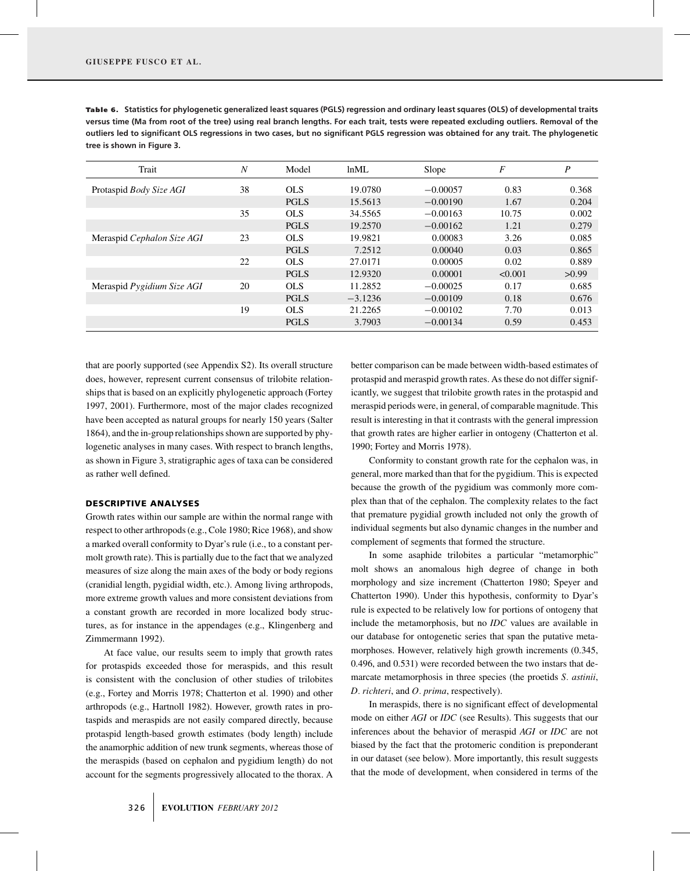| Trait                          | N  | Model       | lnML      | Slope      | $\boldsymbol{F}$ | $\overline{P}$ |
|--------------------------------|----|-------------|-----------|------------|------------------|----------------|
| Protaspid <i>Body Size AGI</i> | 38 | <b>OLS</b>  | 19.0780   | $-0.00057$ | 0.83             | 0.368          |
|                                |    | <b>PGLS</b> | 15.5613   | $-0.00190$ | 1.67             | 0.204          |
|                                | 35 | <b>OLS</b>  | 34.5565   | $-0.00163$ | 10.75            | 0.002          |
|                                |    | <b>PGLS</b> | 19.2570   | $-0.00162$ | 1.21             | 0.279          |
| Meraspid Cephalon Size AGI     | 23 | <b>OLS</b>  | 19.9821   | 0.00083    | 3.26             | 0.085          |
|                                |    | <b>PGLS</b> | 7.2512    | 0.00040    | 0.03             | 0.865          |
|                                | 22 | <b>OLS</b>  | 27.0171   | 0.00005    | 0.02             | 0.889          |
|                                |    | <b>PGLS</b> | 12.9320   | 0.00001    | < 0.001          | >0.99          |
| Meraspid Pygidium Size AGI     | 20 | <b>OLS</b>  | 11.2852   | $-0.00025$ | 0.17             | 0.685          |
|                                |    | <b>PGLS</b> | $-3.1236$ | $-0.00109$ | 0.18             | 0.676          |
|                                | 19 | <b>OLS</b>  | 21.2265   | $-0.00102$ | 7.70             | 0.013          |
|                                |    | <b>PGLS</b> | 3.7903    | $-0.00134$ | 0.59             | 0.453          |
|                                |    |             |           |            |                  |                |

**Tab le 6 . Statistics for phylogenetic generalized least squares (PGLS) regression and ordinary least squares (OLS) of developmental traits versus time (Ma from root of the tree) using real branch lengths. For each trait, tests were repeated excluding outliers. Removal of the outliers led to significant OLS regressions in two cases, but no significant PGLS regression was obtained for any trait. The phylogenetic tree is shown in Figure 3.**

that are poorly supported (see Appendix S2). Its overall structure does, however, represent current consensus of trilobite relationships that is based on an explicitly phylogenetic approach (Fortey 1997, 2001). Furthermore, most of the major clades recognized have been accepted as natural groups for nearly 150 years (Salter 1864), and the in-group relationships shown are supported by phylogenetic analyses in many cases. With respect to branch lengths, as shown in Figure 3, stratigraphic ages of taxa can be considered as rather well defined.

# **DESCRIPTIVE ANALYSES**

Growth rates within our sample are within the normal range with respect to other arthropods (e.g., Cole 1980; Rice 1968), and show a marked overall conformity to Dyar's rule (i.e., to a constant permolt growth rate). This is partially due to the fact that we analyzed measures of size along the main axes of the body or body regions (cranidial length, pygidial width, etc.). Among living arthropods, more extreme growth values and more consistent deviations from a constant growth are recorded in more localized body structures, as for instance in the appendages (e.g., Klingenberg and Zimmermann 1992).

At face value, our results seem to imply that growth rates for protaspids exceeded those for meraspids, and this result is consistent with the conclusion of other studies of trilobites (e.g., Fortey and Morris 1978; Chatterton et al. 1990) and other arthropods (e.g., Hartnoll 1982). However, growth rates in protaspids and meraspids are not easily compared directly, because protaspid length-based growth estimates (body length) include the anamorphic addition of new trunk segments, whereas those of the meraspids (based on cephalon and pygidium length) do not account for the segments progressively allocated to the thorax. A better comparison can be made between width-based estimates of protaspid and meraspid growth rates. As these do not differ significantly, we suggest that trilobite growth rates in the protaspid and meraspid periods were, in general, of comparable magnitude. This result is interesting in that it contrasts with the general impression that growth rates are higher earlier in ontogeny (Chatterton et al. 1990; Fortey and Morris 1978).

Conformity to constant growth rate for the cephalon was, in general, more marked than that for the pygidium. This is expected because the growth of the pygidium was commonly more complex than that of the cephalon. The complexity relates to the fact that premature pygidial growth included not only the growth of individual segments but also dynamic changes in the number and complement of segments that formed the structure.

In some asaphide trilobites a particular "metamorphic" molt shows an anomalous high degree of change in both morphology and size increment (Chatterton 1980; Speyer and Chatterton 1990). Under this hypothesis, conformity to Dyar's rule is expected to be relatively low for portions of ontogeny that include the metamorphosis, but no *IDC* values are available in our database for ontogenetic series that span the putative metamorphoses. However, relatively high growth increments (0.345, 0.496, and 0.531) were recorded between the two instars that demarcate metamorphosis in three species (the proetids *S. astinii*, *D. richteri*, and *O. prima*, respectively).

In meraspids, there is no significant effect of developmental mode on either *AGI* or *IDC* (see Results). This suggests that our inferences about the behavior of meraspid *AGI* or *IDC* are not biased by the fact that the protomeric condition is preponderant in our dataset (see below). More importantly, this result suggests that the mode of development, when considered in terms of the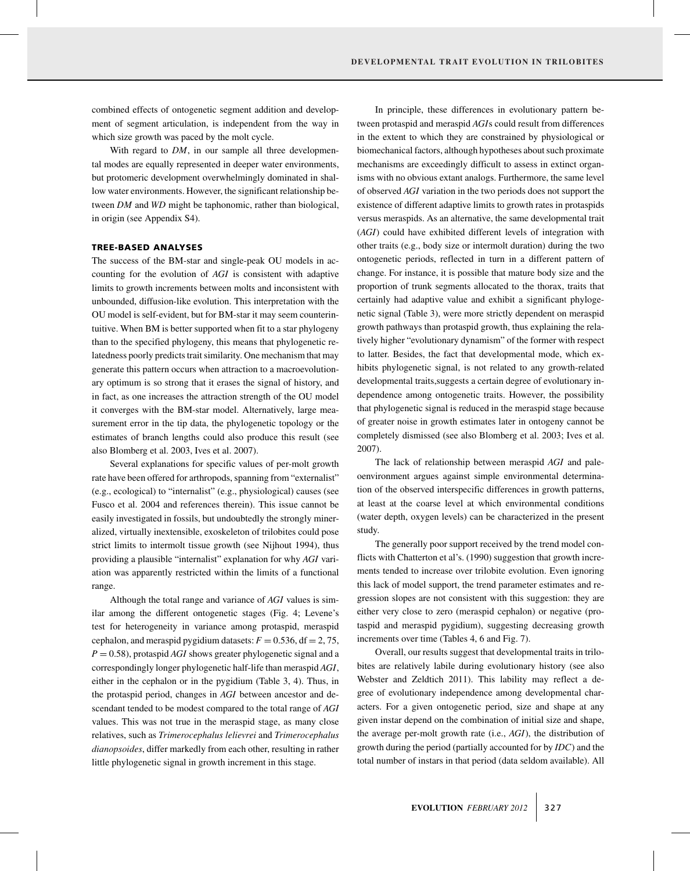combined effects of ontogenetic segment addition and development of segment articulation, is independent from the way in which size growth was paced by the molt cycle.

With regard to *DM*, in our sample all three developmental modes are equally represented in deeper water environments, but protomeric development overwhelmingly dominated in shallow water environments. However, the significant relationship between *DM* and *WD* might be taphonomic, rather than biological, in origin (see Appendix S4).

### **TREE-BASED ANALYSES**

The success of the BM-star and single-peak OU models in accounting for the evolution of *AGI* is consistent with adaptive limits to growth increments between molts and inconsistent with unbounded, diffusion-like evolution. This interpretation with the OU model is self-evident, but for BM-star it may seem counterintuitive. When BM is better supported when fit to a star phylogeny than to the specified phylogeny, this means that phylogenetic relatedness poorly predicts trait similarity. One mechanism that may generate this pattern occurs when attraction to a macroevolutionary optimum is so strong that it erases the signal of history, and in fact, as one increases the attraction strength of the OU model it converges with the BM-star model. Alternatively, large measurement error in the tip data, the phylogenetic topology or the estimates of branch lengths could also produce this result (see also Blomberg et al. 2003, Ives et al. 2007).

Several explanations for specific values of per-molt growth rate have been offered for arthropods, spanning from "externalist" (e.g., ecological) to "internalist" (e.g., physiological) causes (see Fusco et al. 2004 and references therein). This issue cannot be easily investigated in fossils, but undoubtedly the strongly mineralized, virtually inextensible, exoskeleton of trilobites could pose strict limits to intermolt tissue growth (see Nijhout 1994), thus providing a plausible "internalist" explanation for why *AGI* variation was apparently restricted within the limits of a functional range.

Although the total range and variance of *AGI* values is similar among the different ontogenetic stages (Fig. 4; Levene's test for heterogeneity in variance among protaspid, meraspid cephalon, and meraspid pygidium datasets:  $F = 0.536$ , df = 2, 75,  $P = 0.58$ , protaspid *AGI* shows greater phylogenetic signal and a correspondingly longer phylogenetic half-life than meraspid *AGI*, either in the cephalon or in the pygidium (Table 3, 4). Thus, in the protaspid period, changes in *AGI* between ancestor and descendant tended to be modest compared to the total range of *AGI* values. This was not true in the meraspid stage, as many close relatives, such as *Trimerocephalus lelievrei* and *Trimerocephalus dianopsoides*, differ markedly from each other, resulting in rather little phylogenetic signal in growth increment in this stage.

In principle, these differences in evolutionary pattern between protaspid and meraspid *AGI*s could result from differences in the extent to which they are constrained by physiological or biomechanical factors, although hypotheses about such proximate mechanisms are exceedingly difficult to assess in extinct organisms with no obvious extant analogs. Furthermore, the same level of observed *AGI* variation in the two periods does not support the existence of different adaptive limits to growth rates in protaspids versus meraspids. As an alternative, the same developmental trait (*AGI*) could have exhibited different levels of integration with other traits (e.g., body size or intermolt duration) during the two ontogenetic periods, reflected in turn in a different pattern of change. For instance, it is possible that mature body size and the proportion of trunk segments allocated to the thorax, traits that certainly had adaptive value and exhibit a significant phylogenetic signal (Table 3), were more strictly dependent on meraspid growth pathways than protaspid growth, thus explaining the relatively higher "evolutionary dynamism" of the former with respect to latter. Besides, the fact that developmental mode, which exhibits phylogenetic signal, is not related to any growth-related developmental traits,suggests a certain degree of evolutionary independence among ontogenetic traits. However, the possibility that phylogenetic signal is reduced in the meraspid stage because of greater noise in growth estimates later in ontogeny cannot be completely dismissed (see also Blomberg et al. 2003; Ives et al. 2007).

The lack of relationship between meraspid *AGI* and paleoenvironment argues against simple environmental determination of the observed interspecific differences in growth patterns, at least at the coarse level at which environmental conditions (water depth, oxygen levels) can be characterized in the present study.

The generally poor support received by the trend model conflicts with Chatterton et al's. (1990) suggestion that growth increments tended to increase over trilobite evolution. Even ignoring this lack of model support, the trend parameter estimates and regression slopes are not consistent with this suggestion: they are either very close to zero (meraspid cephalon) or negative (protaspid and meraspid pygidium), suggesting decreasing growth increments over time (Tables 4, 6 and Fig. 7).

Overall, our results suggest that developmental traits in trilobites are relatively labile during evolutionary history (see also Webster and Zeldtich 2011). This lability may reflect a degree of evolutionary independence among developmental characters. For a given ontogenetic period, size and shape at any given instar depend on the combination of initial size and shape, the average per-molt growth rate (i.e., *AGI*), the distribution of growth during the period (partially accounted for by *IDC*) and the total number of instars in that period (data seldom available). All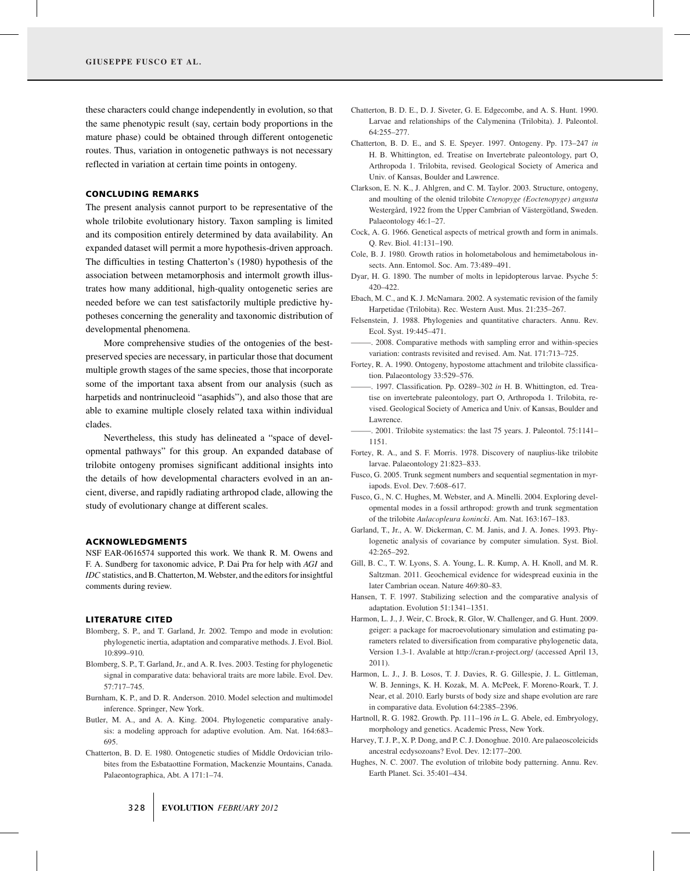these characters could change independently in evolution, so that the same phenotypic result (say, certain body proportions in the mature phase) could be obtained through different ontogenetic routes. Thus, variation in ontogenetic pathways is not necessary reflected in variation at certain time points in ontogeny.

#### **CONCLUDING REMARKS**

The present analysis cannot purport to be representative of the whole trilobite evolutionary history. Taxon sampling is limited and its composition entirely determined by data availability. An expanded dataset will permit a more hypothesis-driven approach. The difficulties in testing Chatterton's (1980) hypothesis of the association between metamorphosis and intermolt growth illustrates how many additional, high-quality ontogenetic series are needed before we can test satisfactorily multiple predictive hypotheses concerning the generality and taxonomic distribution of developmental phenomena.

More comprehensive studies of the ontogenies of the bestpreserved species are necessary, in particular those that document multiple growth stages of the same species, those that incorporate some of the important taxa absent from our analysis (such as harpetids and nontrinucleoid "asaphids"), and also those that are able to examine multiple closely related taxa within individual clades.

Nevertheless, this study has delineated a "space of developmental pathways" for this group. An expanded database of trilobite ontogeny promises significant additional insights into the details of how developmental characters evolved in an ancient, diverse, and rapidly radiating arthropod clade, allowing the study of evolutionary change at different scales.

#### **ACKNOWLEDGMENTS**

NSF EAR-0616574 supported this work. We thank R. M. Owens and F. A. Sundberg for taxonomic advice, P. Dai Pra for help with *AGI* and *IDC* statistics, and B. Chatterton, M. Webster, and the editors for insightful comments during review.

#### **LITERATURE CITED**

- Blomberg, S. P., and T. Garland, Jr. 2002. Tempo and mode in evolution: phylogenetic inertia, adaptation and comparative methods. J. Evol. Biol. 10:899–910.
- Blomberg, S. P., T. Garland, Jr., and A. R. Ives. 2003. Testing for phylogenetic signal in comparative data: behavioral traits are more labile. Evol. Dev. 57:717–745.
- Burnham, K. P., and D. R. Anderson. 2010. Model selection and multimodel inference. Springer, New York.
- Butler, M. A., and A. A. King. 2004. Phylogenetic comparative analysis: a modeling approach for adaptive evolution. Am. Nat. 164:683– 695.
- Chatterton, B. D. E. 1980. Ontogenetic studies of Middle Ordovician trilobites from the Esbataottine Formation, Mackenzie Mountains, Canada. Palaeontographica, Abt. A 171:1–74.
- Chatterton, B. D. E., D. J. Siveter, G. E. Edgecombe, and A. S. Hunt. 1990. Larvae and relationships of the Calymenina (Trilobita). J. Paleontol. 64:255–277.
- Chatterton, B. D. E., and S. E. Speyer. 1997. Ontogeny. Pp. 173–247 *in* H. B. Whittington, ed. Treatise on Invertebrate paleontology, part O, Arthropoda 1. Trilobita, revised. Geological Society of America and Univ. of Kansas, Boulder and Lawrence.
- Clarkson, E. N. K., J. Ahlgren, and C. M. Taylor. 2003. Structure, ontogeny, and moulting of the olenid trilobite *Ctenopyge (Eoctenopyge) angusta* Westergård, 1922 from the Upper Cambrian of Västergötland, Sweden. Palaeontology 46:1–27.
- Cock, A. G. 1966. Genetical aspects of metrical growth and form in animals. Q. Rev. Biol. 41:131–190.
- Cole, B. J. 1980. Growth ratios in holometabolous and hemimetabolous insects. Ann. Entomol. Soc. Am. 73:489–491.
- Dyar, H. G. 1890. The number of molts in lepidopterous larvae. Psyche 5: 420–422.
- Ebach, M. C., and K. J. McNamara. 2002. A systematic revision of the family Harpetidae (Trilobita). Rec. Western Aust. Mus. 21:235–267.
- Felsenstein, J. 1988. Phylogenies and quantitative characters. Annu. Rev. Ecol. Syst. 19:445–471.
- ——–. 2008. Comparative methods with sampling error and within-species variation: contrasts revisited and revised. Am. Nat. 171:713–725.
- Fortey, R. A. 1990. Ontogeny, hypostome attachment and trilobite classification. Palaeontology 33:529–576.
- ——–. 1997. Classification. Pp. O289–302 *in* H. B. Whittington, ed. Treatise on invertebrate paleontology, part O, Arthropoda 1. Trilobita, revised. Geological Society of America and Univ. of Kansas, Boulder and Lawrence.
- ——–. 2001. Trilobite systematics: the last 75 years. J. Paleontol. 75:1141– 1151.
- Fortey, R. A., and S. F. Morris. 1978. Discovery of nauplius-like trilobite larvae. Palaeontology 21:823–833.
- Fusco, G. 2005. Trunk segment numbers and sequential segmentation in myriapods. Evol. Dev. 7:608–617.
- Fusco, G., N. C. Hughes, M. Webster, and A. Minelli. 2004. Exploring developmental modes in a fossil arthropod: growth and trunk segmentation of the trilobite *Aulacopleura konincki*. Am. Nat. 163:167–183.
- Garland, T., Jr., A. W. Dickerman, C. M. Janis, and J. A. Jones. 1993. Phylogenetic analysis of covariance by computer simulation. Syst. Biol. 42:265–292.
- Gill, B. C., T. W. Lyons, S. A. Young, L. R. Kump, A. H. Knoll, and M. R. Saltzman. 2011. Geochemical evidence for widespread euxinia in the later Cambrian ocean. Nature 469:80–83.
- Hansen, T. F. 1997. Stabilizing selection and the comparative analysis of adaptation. Evolution 51:1341–1351.
- Harmon, L. J., J. Weir, C. Brock, R. Glor, W. Challenger, and G. Hunt. 2009. geiger: a package for macroevolutionary simulation and estimating parameters related to diversification from comparative phylogenetic data, Version 1.3-1. Avalable at http://cran.r-project.org/ (accessed April 13, 2011).
- Harmon, L. J., J. B. Losos, T. J. Davies, R. G. Gillespie, J. L. Gittleman, W. B. Jennings, K. H. Kozak, M. A. McPeek, F. Moreno-Roark, T. J. Near, et al. 2010. Early bursts of body size and shape evolution are rare in comparative data. Evolution 64:2385–2396.
- Hartnoll, R. G. 1982. Growth. Pp. 111–196 *in* L. G. Abele, ed. Embryology, morphology and genetics. Academic Press, New York.
- Harvey, T. J. P., X. P. Dong, and P. C. J. Donoghue. 2010. Are palaeoscoleicids ancestral ecdysozoans? Evol. Dev. 12:177–200.
- Hughes, N. C. 2007. The evolution of trilobite body patterning. Annu. Rev. Earth Planet. Sci. 35:401–434.